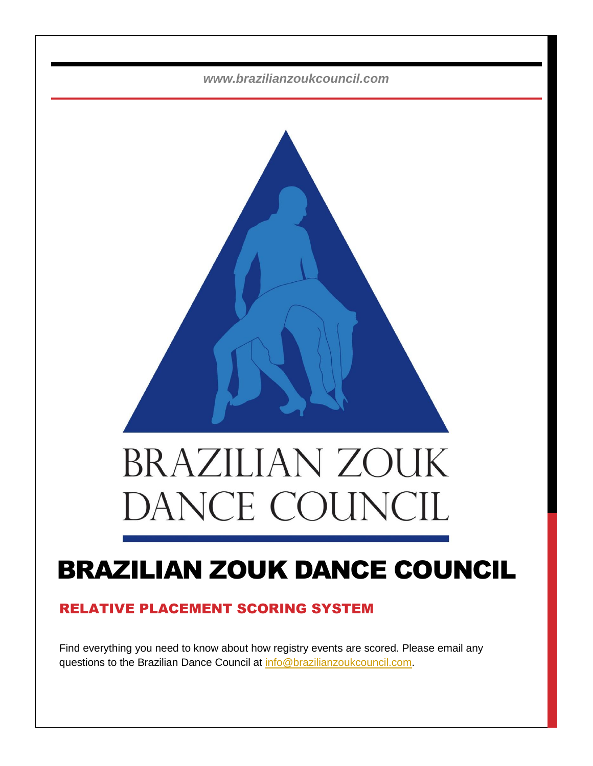*www.brazilianzoukcouncil.com*



# **BRAZILIAN ZOUK** DANCE COUNC

# BRAZILIAN ZOUK DANCE COUNCIL

# RELATIVE PLACEMENT SCORING SYSTEM

Find everything you need to know about how registry events are scored. Please email any questions to the Brazilian Dance Council at <u>info@brazilianzoukcouncil.com</u>.

any questions to the Brazilian Dance Council at [info@b](mailto:info@kadularissa.com)razilian Dance Council at info@brazilian.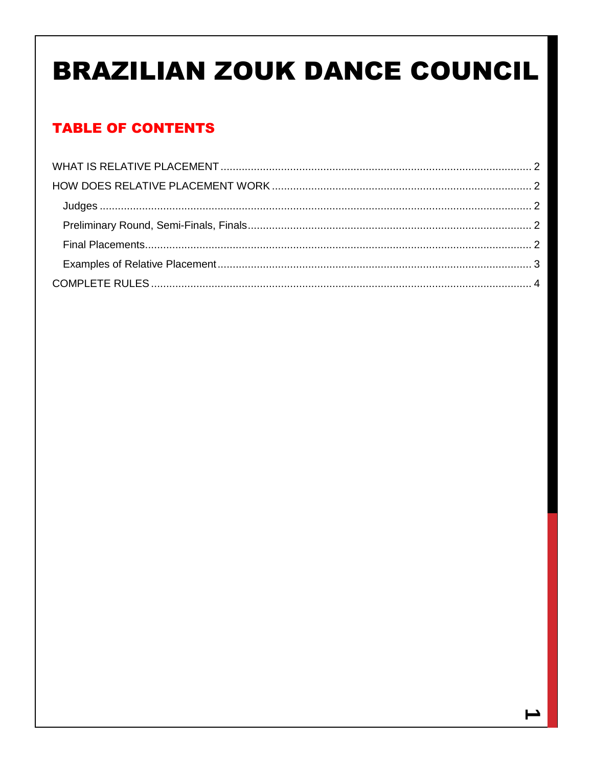# **BRAZILIAN ZOUK DANCE COUNCIL**

# **TABLE OF CONTENTS**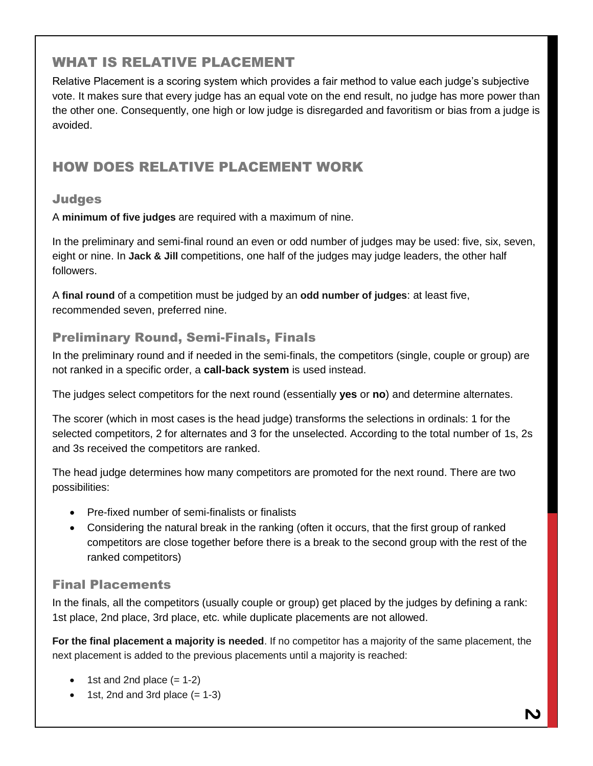# <span id="page-2-0"></span>WHAT IS RELATIVE PLACEMENT

Relative Placement is a scoring system which provides a fair method to value each judge's subjective vote. It makes sure that every judge has an equal vote on the end result, no judge has more power than the other one. Consequently, one high or low judge is disregarded and favoritism or bias from a judge is avoided.

# <span id="page-2-1"></span>HOW DOES RELATIVE PLACEMENT WORK

#### <span id="page-2-2"></span>**Judges**

A **minimum of five judges** are required with a maximum of nine.

In the preliminary and semi-final round an even or odd number of judges may be used: five, six, seven, eight or nine. In **Jack & Jill** competitions, one half of the judges may judge leaders, the other half followers.

A **final round** of a competition must be judged by an **odd number of judges**: at least five, recommended seven, preferred nine.

#### <span id="page-2-3"></span>Preliminary Round, Semi-Finals, Finals

In the preliminary round and if needed in the semi-finals, the competitors (single, couple or group) are not ranked in a specific order, a **call-back system** is used instead.

The judges select competitors for the next round (essentially **yes** or **no**) and determine alternates.

The scorer (which in most cases is the head judge) transforms the selections in ordinals: 1 for the selected competitors, 2 for alternates and 3 for the unselected. According to the total number of 1s, 2s and 3s received the competitors are ranked.

The head judge determines how many competitors are promoted for the next round. There are two possibilities:

- Pre-fixed number of semi-finalists or finalists
- Considering the natural break in the ranking (often it occurs, that the first group of ranked competitors are close together before there is a break to the second group with the rest of the ranked competitors)

### <span id="page-2-4"></span>Final Placements

In the finals, all the competitors (usually couple or group) get placed by the judges by defining a rank: 1st place, 2nd place, 3rd place, etc. while duplicate placements are not allowed.

**For the final placement a majority is needed**. If no competitor has a majority of the same placement, the next placement is added to the previous placements until a majority is reached:

- $\bullet$  1st and 2nd place  $(= 1-2)$
- $\bullet$  1st, 2nd and 3rd place  $(= 1-3)$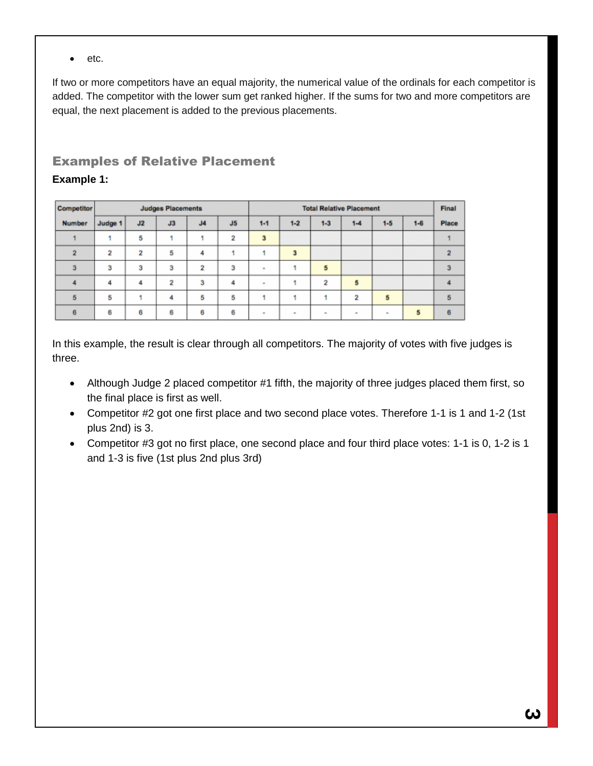$e$  etc.

If two or more competitors have an equal majority, the numerical value of the ordinals for each competitor is added. The competitor with the lower sum get ranked higher. If the sums for two and more competitors are equal, the next placement is added to the previous placements.

### <span id="page-3-0"></span>Examples of Relative Placement **Example 1:**

| <b>Competitor</b> |         |                         | <b>Judges Placements</b> |                |                | <b>Total Relative Placement</b> |         |                |        |         |         | Final |
|-------------------|---------|-------------------------|--------------------------|----------------|----------------|---------------------------------|---------|----------------|--------|---------|---------|-------|
| <b>Number</b>     | Judge 1 | J2                      | J3                       | J <sub>4</sub> | J <sub>5</sub> | $1 - 1$                         | $1 - 2$ | $1 - 3$        | $1-4$  | $1 - 5$ | $1 - 6$ | Place |
|                   |         | 5                       |                          |                | 2              | 3                               |         |                |        |         |         |       |
| $\overline{2}$    | 2       | $\overline{\mathbf{2}}$ | 5                        | 4              |                |                                 | 3       |                |        |         |         |       |
| 3                 | 3       | 3                       | 3                        | 2              | з              | ۰                               |         | 5              |        |         |         |       |
|                   | 4       | 4                       | $\overline{2}$           | 3              | Δ              | $\sim$                          |         | $\overline{2}$ | 5      |         |         |       |
| 5                 | 5       |                         | 4                        | 5              | 5              |                                 |         |                | 2      | 5       |         |       |
| 6                 | 6       | 6                       | 6                        | 6              | 6              | $\sim$                          | $\sim$  | $\sim$         | $\sim$ | $\sim$  | 5       |       |

In this example, the result is clear through all competitors. The majority of votes with five judges is three.

- Although Judge 2 placed competitor #1 fifth, the majority of three judges placed them first, so the final place is first as well.
- Competitor #2 got one first place and two second place votes. Therefore 1-1 is 1 and 1-2 (1st plus 2nd) is 3.
- Competitor #3 got no first place, one second place and four third place votes: 1-1 is 0, 1-2 is 1 and 1-3 is five (1st plus 2nd plus 3rd)